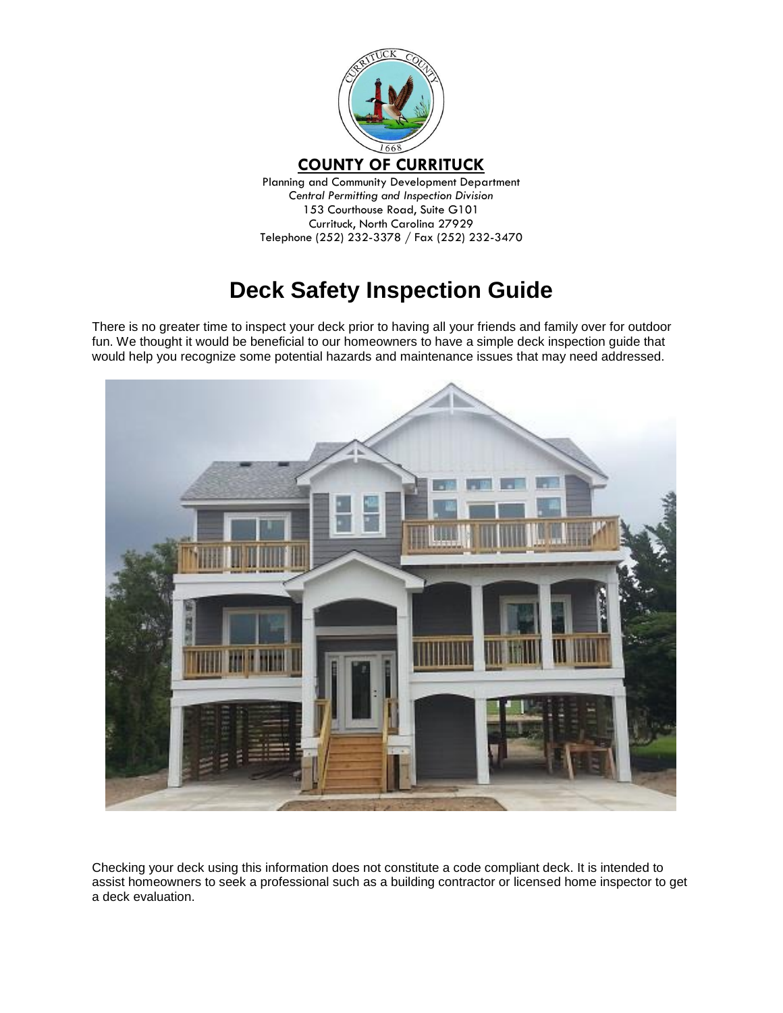

*Central Permitting and Inspection Division* 153 Courthouse Road, Suite G101 Currituck, North Carolina 27929 Telephone (252) 232-3378 / Fax (252) 232-3470

# **Deck Safety Inspection Guide**

There is no greater time to inspect your deck prior to having all your friends and family over for outdoor fun. We thought it would be beneficial to our homeowners to have a simple deck inspection guide that would help you recognize some potential hazards and maintenance issues that may need addressed.



Checking your deck using this information does not constitute a code compliant deck. It is intended to assist homeowners to seek a professional such as a building contractor or licensed home inspector to get a deck evaluation.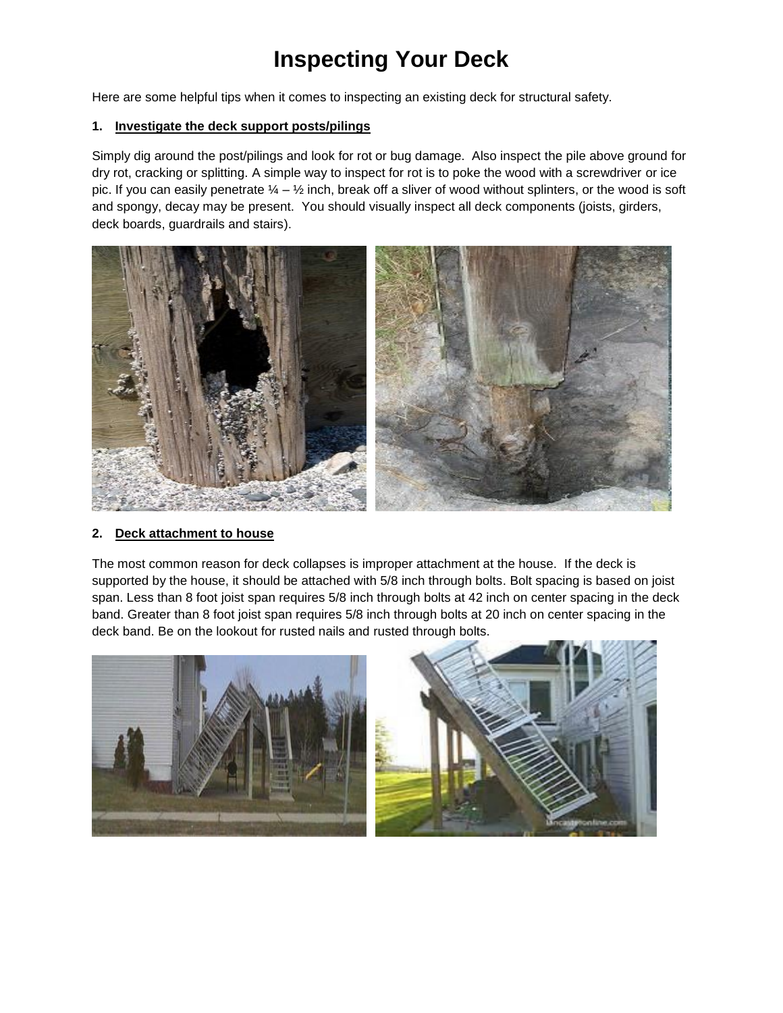# **Inspecting Your Deck**

Here are some helpful tips when it comes to inspecting an existing deck for structural safety.

# **1. Investigate the deck support posts/pilings**

Simply dig around the post/pilings and look for rot or bug damage. Also inspect the pile above ground for dry rot, cracking or splitting. A simple way to inspect for rot is to poke the wood with a screwdriver or ice pic. If you can easily penetrate  $\frac{1}{4} - \frac{1}{2}$  inch, break off a sliver of wood without splinters, or the wood is soft and spongy, decay may be present. You should visually inspect all deck components (joists, girders, deck boards, guardrails and stairs).



# **2. Deck attachment to house**

The most common reason for deck collapses is improper attachment at the house. If the deck is supported by the house, it should be attached with 5/8 inch through bolts. Bolt spacing is based on joist span. Less than 8 foot joist span requires 5/8 inch through bolts at 42 inch on center spacing in the deck band. Greater than 8 foot joist span requires 5/8 inch through bolts at 20 inch on center spacing in the deck band. Be on the lookout for rusted nails and rusted through bolts.

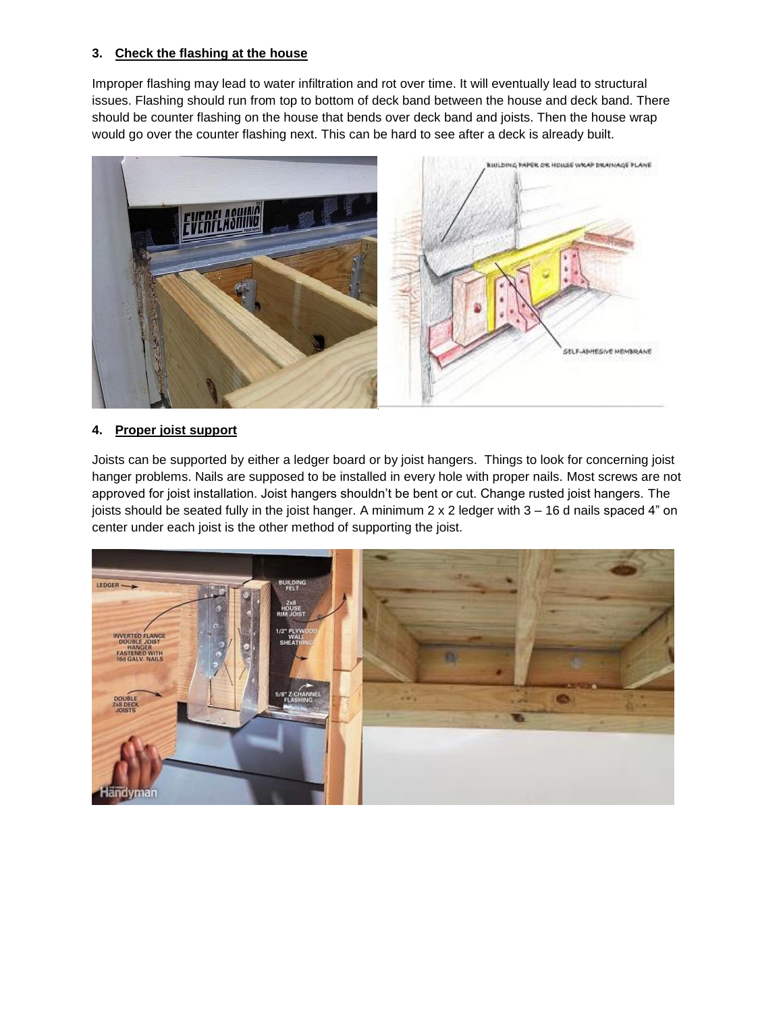# **3. Check the flashing at the house**

Improper flashing may lead to water infiltration and rot over time. It will eventually lead to structural issues. Flashing should run from top to bottom of deck band between the house and deck band. There should be counter flashing on the house that bends over deck band and joists. Then the house wrap would go over the counter flashing next. This can be hard to see after a deck is already built.



# **4. Proper joist support**

Joists can be supported by either a ledger board or by joist hangers. Things to look for concerning joist hanger problems. Nails are supposed to be installed in every hole with proper nails. Most screws are not approved for joist installation. Joist hangers shouldn't be bent or cut. Change rusted joist hangers. The joists should be seated fully in the joist hanger. A minimum 2 x 2 ledger with 3 – 16 d nails spaced 4" on center under each joist is the other method of supporting the joist.

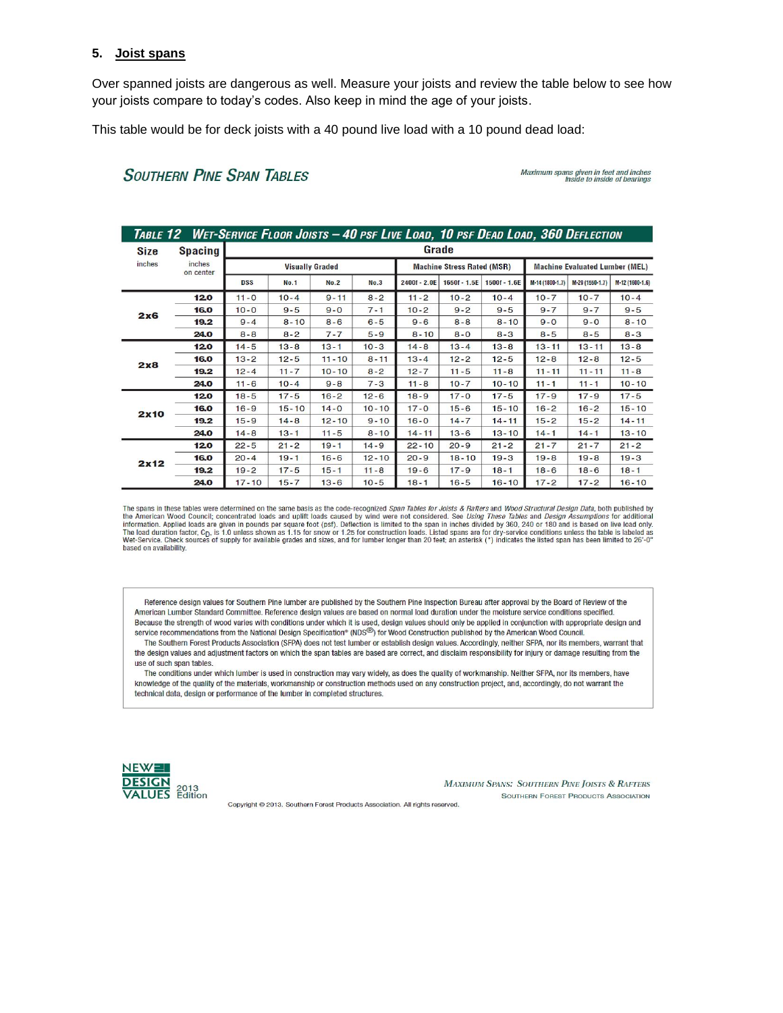#### **5. Joist spans**

Over spanned joists are dangerous as well. Measure your joists and review the table below to see how your joists compare to today's codes. Also keep in mind the age of your joists.

This table would be for deck joists with a 40 pound live load with a 10 pound dead load:

# **SOUTHERN PINE SPAN TABLES**

Maximum spans given in feet and inches<br>Inside to inside of bearings

| Table 12   Wet-Service Floor Joists – 40 psf Live Load, 10 psf Dead Load, 360 Deflection |                     |                        |             |             |           |                                   |                |                |                                       |                 |                 |
|------------------------------------------------------------------------------------------|---------------------|------------------------|-------------|-------------|-----------|-----------------------------------|----------------|----------------|---------------------------------------|-----------------|-----------------|
| Size                                                                                     | Spacing             | Grade                  |             |             |           |                                   |                |                |                                       |                 |                 |
| inches                                                                                   | inches<br>on center | <b>Visually Graded</b> |             |             |           | <b>Machine Stress Rated (MSR)</b> |                |                | <b>Machine Evaluated Lumber (MEL)</b> |                 |                 |
|                                                                                          |                     | <b>DSS</b>             | <b>No.1</b> | <b>No.2</b> | No.3      | 2400f - 2.0E                      | $1650f - 1.5E$ | $1500f - 1.6E$ | M-14 (1800-1.7)                       | M-29 (1550-1.7) | M-12 (1600-1.6) |
| 2x6                                                                                      | 120                 | $11 - 0$               | $10 - 4$    | $9 - 11$    | $8 - 2$   | $11 - 2$                          | $10 - 2$       | $10 - 4$       | $10 - 7$                              | $10 - 7$        | $10 - 4$        |
|                                                                                          | 16.0                | $10 - 0$               | $9 - 5$     | $9 - 0$     | $7 - 1$   | $10 - 2$                          | $9 - 2$        | $9 - 5$        | $9 - 7$                               | $9 - 7$         | $9 - 5$         |
|                                                                                          | 19.2                | $9 - 4$                | $8 - 10$    | $8 - 6$     | $6 - 5$   | $9 - 6$                           | $8 - 8$        | $8 - 10$       | $9 - 0$                               | $9 - 0$         | $8 - 10$        |
|                                                                                          | 24.0                | $8 - 8$                | $8 - 2$     | $7 - 7$     | $5 - 9$   | $8 - 10$                          | $8 - 0$        | $8 - 3$        | $8 - 5$                               | $8 - 5$         | $8 - 3$         |
| 2x8                                                                                      | 120                 | $14 - 5$               | $13 - 8$    | $13 - 1$    | $10 - 3$  | $14 - 8$                          | $13 - 4$       | $13 - 8$       | $13 - 11$                             | $13 - 11$       | $13 - 8$        |
|                                                                                          | 16.0                | $13 - 2$               | $12 - 5$    | $11 - 10$   | $8 - 11$  | $13 - 4$                          | $12 - 2$       | $12 - 5$       | $12 - 8$                              | $12 - 8$        | $12 - 5$        |
|                                                                                          | 19.2                | $12 - 4$               | $11 - 7$    | $10 - 10$   | $8 - 2$   | $12 - 7$                          | $11 - 5$       | $11 - 8$       | $11 - 11$                             | $11 - 11$       | $11 - 8$        |
|                                                                                          | 24.0                | $11 - 6$               | $10 - 4$    | $9 - 8$     | $7 - 3$   | $11 - 8$                          | $10 - 7$       | $10 - 10$      | $11 - 1$                              | $11 - 1$        | $10 - 10$       |
| 2x10                                                                                     | 120                 | $18 - 5$               | $17 - 5$    | $16 - 2$    | $12 - 6$  | $18 - 9$                          | $17 - 0$       | $17 - 5$       | $17 - 9$                              | $17 - 9$        | $17 - 5$        |
|                                                                                          | 16.0                | $16 - 9$               | $15 - 10$   | $14 - 0$    | $10 - 10$ | $17 - 0$                          | $15 - 6$       | $15 - 10$      | $16 - 2$                              | $16 - 2$        | $15 - 10$       |
|                                                                                          | 19.2                | $15 - 9$               | $14 - 8$    | $12 - 10$   | $9 - 10$  | $16 - 0$                          | $14 - 7$       | $14 - 11$      | $15 - 2$                              | $15 - 2$        | $14 - 11$       |
|                                                                                          | 24.0                | $14 - 8$               | $13 - 1$    | $11 - 5$    | $8 - 10$  | $14 - 11$                         | $13 - 6$       | $13 - 10$      | $14 - 1$                              | $14 - 1$        | $13 - 10$       |
| 2x12                                                                                     | 120                 | $22 - 5$               | $21 - 2$    | $19 - 1$    | $14 - 9$  | $22 - 10$                         | $20 - 9$       | $21 - 2$       | $21 - 7$                              | $21 - 7$        | $21 - 2$        |
|                                                                                          | 16.0                | $20 - 4$               | $19 - 1$    | $16 - 6$    | $12 - 10$ | $20 - 9$                          | $18 - 10$      | $19 - 3$       | $19 - 8$                              | $19 - 8$        | $19 - 3$        |
|                                                                                          | 19.2                | $19 - 2$               | $17 - 5$    | $15 - 1$    | $11 - 8$  | $19 - 6$                          | $17 - 9$       | $18 - 1$       | $18 - 6$                              | $18 - 6$        | $18 - 1$        |
|                                                                                          | 24.0                | $17 - 10$              | $15 - 7$    | $13 - 6$    | $10 - 5$  | $18 - 1$                          | $16 - 5$       | $16 - 10$      | $17 - 2$                              | $17 - 2$        | $16 - 10$       |

The spans in these tables were determined on the same basis as the code-recognized Span Tables for Joists & Rafters and Wood Structural Design Data, both published by the American Wood Council; concentrated loads and uplift loads caused by wind were not considered. See *Using These Tables and Design Assumptions* for additional<br>information. Applied loads are given in pounds per square fo The load duration factor, C<sub>D</sub>, is 1.0 unless shown as 1.15 for snow or 1.25 for construction loads. Listed spans are for dry-service conditions unless the table is labeled as<br>Wet-Service. Check sources of supply for avail

Reference design values for Southern Pine lumber are published by the Southern Pine Inspection Bureau after approval by the Board of Review of the American Lumber Standard Committee, Reference design values are based on normal load duration under the moisture service conditions specified. Because the strength of wood varies with conditions under which it is used, design values should only be applied in conjunction with appropriate design and service recommendations from the National Design Specification® (NDS<sup>®)</sup> for Wood Construction published by the American Wood Council.

The Southern Forest Products Association (SFPA) does not test lumber or establish design values. Accordingly, neither SFPA, nor its members, warrant that the design values and adjustment factors on which the span tables are based are correct, and disclaim responsibility for injury or damage resulting from the use of such span tables.

The conditions under which lumber is used in construction may vary widely, as does the quality of workmanship. Neither SFPA, nor its members, have knowledge of the quality of the materials, workmanship or construction methods used on any construction project, and, accordingly, do not warrant the technical data, design or performance of the lumber in completed structures.



**MAXIMUM SPANS: SOUTHERN PINE JOISTS & RAFTERS SOUTHERN FOREST PRODUCTS ASSOCIATION** 

Copyright @ 2013. Southern Forest Products Association. All rights reserved.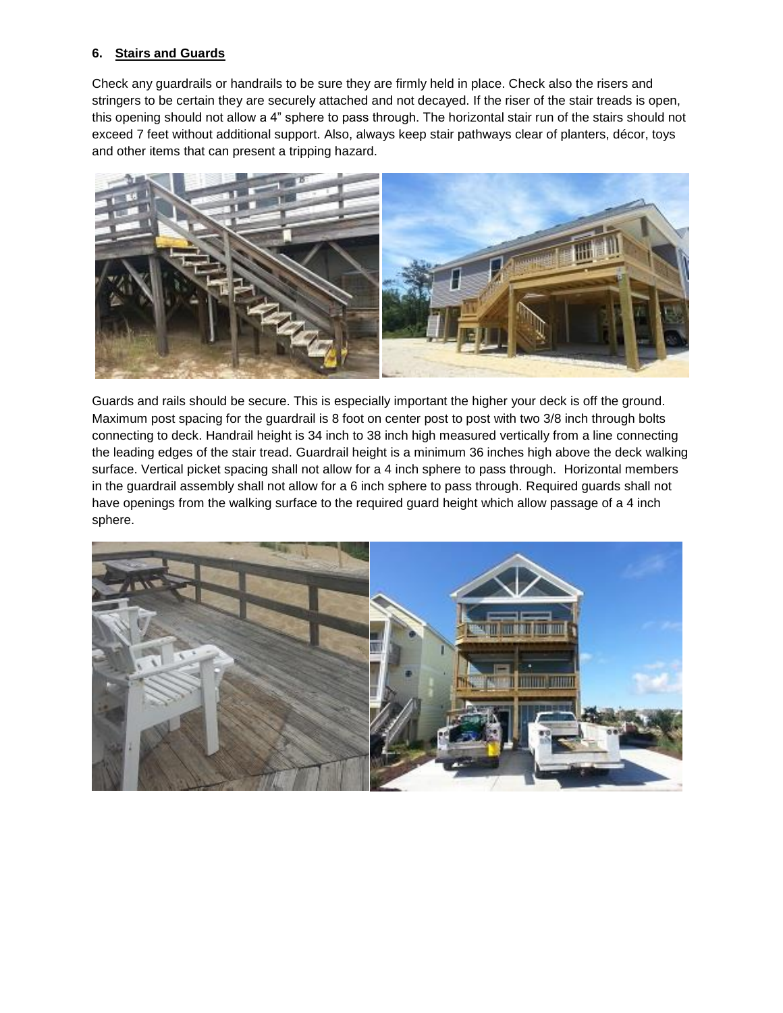# **6. Stairs and Guards**

Check any guardrails or handrails to be sure they are firmly held in place. Check also the risers and stringers to be certain they are securely attached and not decayed. If the riser of the stair treads is open, this opening should not allow a 4" sphere to pass through. The horizontal stair run of the stairs should not exceed 7 feet without additional support. Also, always keep stair pathways clear of planters, décor, toys and other items that can present a tripping hazard.



Guards and rails should be secure. This is especially important the higher your deck is off the ground. Maximum post spacing for the guardrail is 8 foot on center post to post with two 3/8 inch through bolts connecting to deck. Handrail height is 34 inch to 38 inch high measured vertically from a line connecting the leading edges of the stair tread. Guardrail height is a minimum 36 inches high above the deck walking surface. Vertical picket spacing shall not allow for a 4 inch sphere to pass through. Horizontal members in the guardrail assembly shall not allow for a 6 inch sphere to pass through. Required guards shall not have openings from the walking surface to the required guard height which allow passage of a 4 inch sphere.